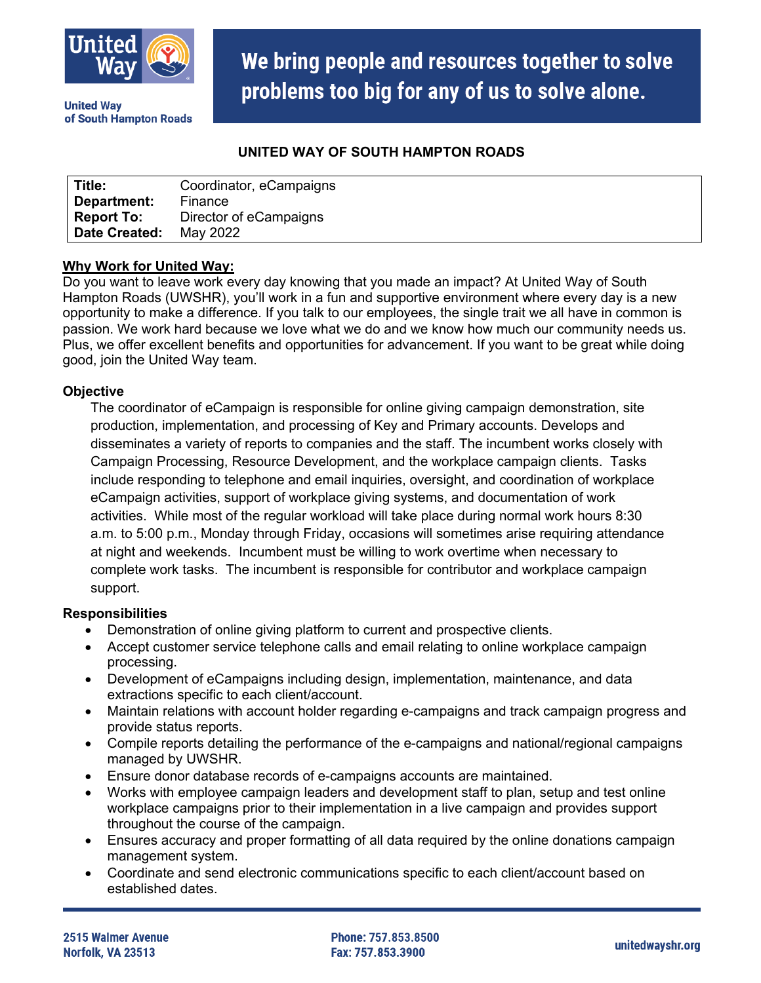

**United Wav** of South Hampton Roads We bring people and resources together to solve problems too big for any of us to solve alone.

# **UNITED WAY OF SOUTH HAMPTON ROADS**

| Title:               | Coordinator, eCampaigns |
|----------------------|-------------------------|
| Department:          | Finance                 |
| <b>Report To:</b>    | Director of eCampaigns  |
| <b>Date Created:</b> | May 2022                |

# **Why Work for United Way:**

Do you want to leave work every day knowing that you made an impact? At United Way of South Hampton Roads (UWSHR), you'll work in a fun and supportive environment where every day is a new opportunity to make a difference. If you talk to our employees, the single trait we all have in common is passion. We work hard because we love what we do and we know how much our community needs us. Plus, we offer excellent benefits and opportunities for advancement. If you want to be great while doing good, join the United Way team.

### **Objective**

The coordinator of eCampaign is responsible for online giving campaign demonstration, site production, implementation, and processing of Key and Primary accounts. Develops and disseminates a variety of reports to companies and the staff. The incumbent works closely with Campaign Processing, Resource Development, and the workplace campaign clients. Tasks include responding to telephone and email inquiries, oversight, and coordination of workplace eCampaign activities, support of workplace giving systems, and documentation of work activities. While most of the regular workload will take place during normal work hours 8:30 a.m. to 5:00 p.m., Monday through Friday, occasions will sometimes arise requiring attendance at night and weekends. Incumbent must be willing to work overtime when necessary to complete work tasks. The incumbent is responsible for contributor and workplace campaign support.

### **Responsibilities**

- Demonstration of online giving platform to current and prospective clients.
- Accept customer service telephone calls and email relating to online workplace campaign processing.
- Development of eCampaigns including design, implementation, maintenance, and data extractions specific to each client/account.
- Maintain relations with account holder regarding e-campaigns and track campaign progress and provide status reports.
- Compile reports detailing the performance of the e-campaigns and national/regional campaigns managed by UWSHR.
- Ensure donor database records of e-campaigns accounts are maintained.
- Works with employee campaign leaders and development staff to plan, setup and test online workplace campaigns prior to their implementation in a live campaign and provides support throughout the course of the campaign.
- Ensures accuracy and proper formatting of all data required by the online donations campaign management system.
- Coordinate and send electronic communications specific to each client/account based on established dates.